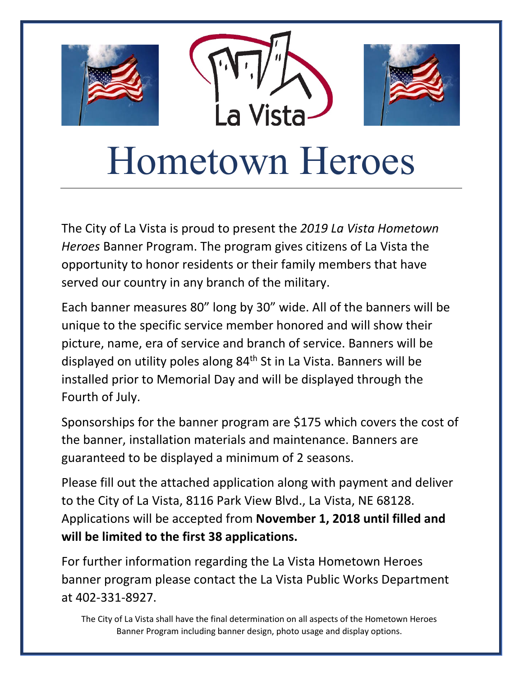

## Hometown Heroes

The City of La Vista is proud to present the *2019 La Vista Hometown Heroes* Banner Program. The program gives citizens of La Vista the opportunity to honor residents or their family members that have served our country in any branch of the military.

Each banner measures 80" long by 30" wide. All of the banners will be unique to the specific service member honored and will show their picture, name, era of service and branch of service. Banners will be displayed on utility poles along 84th St in La Vista. Banners will be installed prior to Memorial Day and will be displayed through the Fourth of July.

Sponsorships for the banner program are \$175 which covers the cost of the banner, installation materials and maintenance. Banners are guaranteed to be displayed a minimum of 2 seasons.

Please fill out the attached application along with payment and deliver to the City of La Vista, 8116 Park View Blvd., La Vista, NE 68128. Applications will be accepted from **November 1, 2018 until filled and will be limited to the first 38 applications.**

For further information regarding the La Vista Hometown Heroes banner program please contact the La Vista Public Works Department at 402-331-8927.

The City of La Vista shall have the final determination on all aspects of the Hometown Heroes Banner Program including banner design, photo usage and display options.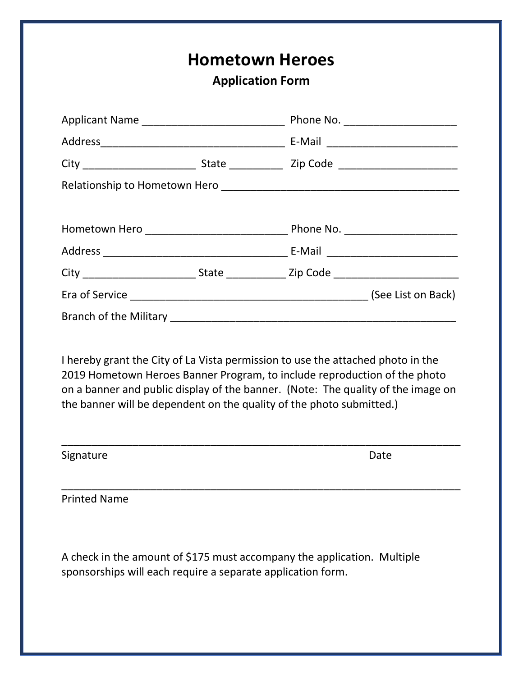## **Hometown Heroes**

**Application Form**

| I hereby grant the City of La Vista permission to use the attached photo in the<br>2019 Hometown Heroes Banner Program, to include reproduction of the photo<br>on a banner and public display of the banner. (Note: The quality of the image on<br>the banner will be dependent on the quality of the photo submitted.) |  |      |  |  |  |
|--------------------------------------------------------------------------------------------------------------------------------------------------------------------------------------------------------------------------------------------------------------------------------------------------------------------------|--|------|--|--|--|
|                                                                                                                                                                                                                                                                                                                          |  |      |  |  |  |
|                                                                                                                                                                                                                                                                                                                          |  |      |  |  |  |
| Signature                                                                                                                                                                                                                                                                                                                |  | Date |  |  |  |
|                                                                                                                                                                                                                                                                                                                          |  |      |  |  |  |
| <b>Printed Name</b>                                                                                                                                                                                                                                                                                                      |  |      |  |  |  |
|                                                                                                                                                                                                                                                                                                                          |  |      |  |  |  |

A check in the amount of \$175 must accompany the application. Multiple sponsorships will each require a separate application form.